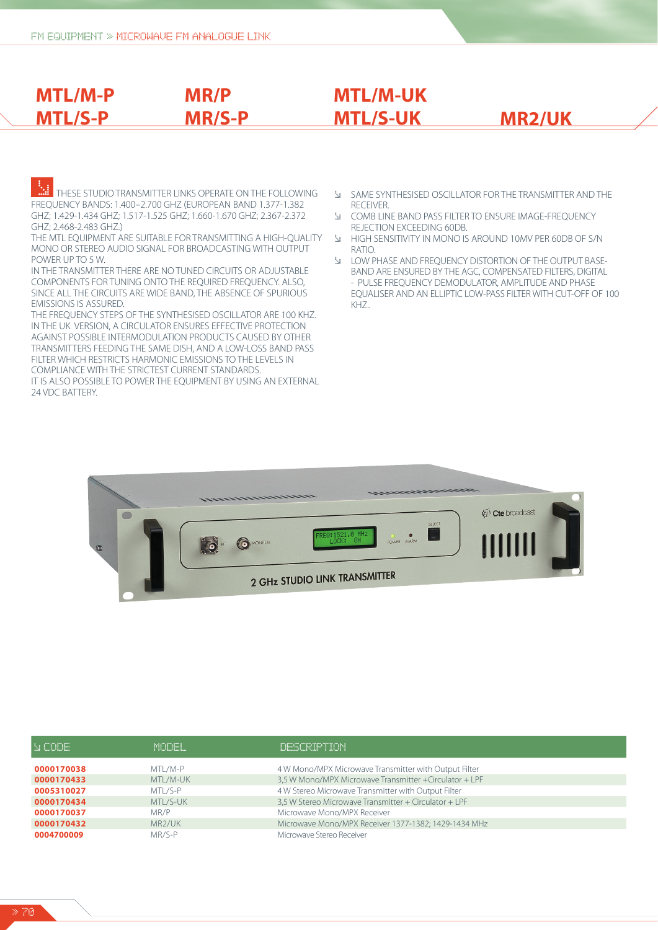**MTL/M-P** 

**MTL/S-P**

# **ALL STATES STUDIO TRANSMITTER LINKS OPERATE ON THE FOLLOWING** FREQUENCY BANDS: 1.400–2.700 GHZ (EUROPEAN BAND 1.377-1.382 GHZ; 1.429-1.434 GHZ; 1.517-1.525 GHZ; 1.660-1.670 GHZ; 2.367-2.372 GHZ; 2.468-2.483 GHZ.)

**MR/P** 

**MR/S-P**

THE MTL EQUIPMENT ARE SUITABLE FOR TRANSMITTING A HIGH-QUALITY MONO OR STEREO AUDIO SIGNAL FOR BROADCASTING WITH OUTPUT POWER UP TO 5 W.

IN THE TRANSMITTER THERE ARE NO TUNED CIRCUITS OR ADJUSTABLE COMPONENTS FOR TUNING ONTO THE REQUIRED FREQUENCY. ALSO, SINCE ALL THE CIRCUITS ARE WIDE BAND, THE ABSENCE OF SPURIOUS EMISSIONS IS ASSURED.

THE FREQUENCY STEPS OF THE SYNTHESISED OSCILLATOR ARE 100 KHZ. IN THE UK VERSION, A CIRCULATOR ENSURES EFFECTIVE PROTECTION AGAINST POSSIBLE INTERMODULATION PRODUCTS CAUSED BY OTHER TRANSMITTERS FEEDING THE SAME DISH, AND A LOW-LOSS BAND PASS FILTER WHICH RESTRICTS HARMONIC EMISSIONS TO THE LEVELS IN COMPLIANCE WITH THE STRICTEST CURRENT STANDARDS.

IT IS ALSO POSSIBLE TO POWER THE EQUIPMENT BY USING AN EXTERNAL 24 VDC BATTERY.

- **EXECUTER SYNTHESISED OSCILLATOR FOR THE TRANSMITTER AND THE RECEIVER**
- **E COMB LINE BAND PASS FILTER TO ENSURE IMAGE-FREQUENCY** REJECTION EXCEEDING 60DB.<br>HIGH SENSITIVITY IN MONO IS

**MTL/S-UK MR2/UK**

**MTL/M-UK** 

- Æ HIGH SENSITIVITY IN MONO IS AROUND 10MV PER 60DB OF S/N RATIO.<br>I LOW P
- LOW PHASE AND FREQUENCY DISTORTION OF THE OUTPUT BASE- BAND ARE ENSURED BY THE AGC, COMPENSATED FILTERS, DIGITAL - PULSE FREQUENCY DEMODULATOR, AMPLITUDE AND PHASE EQUALISER AND AN ELLIPTIC LOW-PASS FILTER WITH CUT-OFF OF 100 KHZ..

|   | $\label{eq:recon} \hspace{-.2em} \textit{Hermite} \textit{Hermite} \textit{Hermite}$<br>1111111111111111111 |                                        |  |
|---|-------------------------------------------------------------------------------------------------------------|----------------------------------------|--|
|   | SELECT                                                                                                      | $\overline{\mathcal{L}}$ Cte broadcast |  |
| ¢ | FRED: 1521.0 MHz<br>- ON<br>POWER ALARM<br><b>O</b> MONITOR<br><b><i>fo</i></b>                             | <u>HIIIII</u>                          |  |
|   | 2 GHz STUDIO LINK TRANSMITTER                                                                               |                                        |  |

| IN CODE.   | MODEL.              | DESCRIPTION                                             |
|------------|---------------------|---------------------------------------------------------|
| 0000170038 | MTL/M-P             | 4 W Mono/MPX Microwave Transmitter with Output Filter   |
| 0000170433 | MTL/M-UK            | 3,5 W Mono/MPX Microwave Transmitter + Circulator + LPF |
| 0005310027 | MTI /S-P            | 4 W Stereo Microwave Transmitter with Output Filter     |
| 0000170434 | MTL/S-UK            | 3,5 W Stereo Microwave Transmitter + Circulator + LPF   |
| 0000170037 | MR/P                | Microwave Mono/MPX Receiver                             |
| 0000170432 | MR <sub>2</sub> /UK | Microwave Mono/MPX Receiver 1377-1382; 1429-1434 MHz    |
| 0004700009 | MR/S-P              | Microwave Stereo Receiver                               |